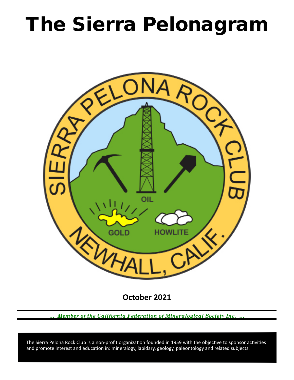# The Sierra Pelonagram



**October 2021**

*… Member of the California Federation of Mineralogical Society Inc. …*

 and promote interest and education in: mineralogy, lapidary, geology, paleontology and related subjects. The Sierra Pelona Rock Club is a non-profit organization founded in 1959 with the objective to sponsor activities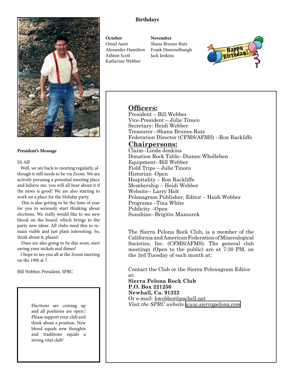

#### **President's Message**

Hi All!

 Well, we are back to meeting regularly, although it still needs to be via Zoom. We are actively perusing a potential meeting place and believe me, you will all hear about it if the news is good! We are also starting to work on a place for the Holiday party.

 This is also getting to be the time of year for you to seriously start thinking about elections. We really would like to see new blood on the board, which brings to the party new ideas. All clubs need this to remain viable and just plain interesting. So, think about it, please!

 Dues are also going to be due soon, start saving your nickels and dimes!

 I hope to see you all at the Zoom meeting on the 19th at 7.

Bill Webber, President, SPRC

Elections are coming up and all positions are open.! Please support your club and think about a position. New blood equals new thoughts and traditions equals a strong vital club!

### **Birthdays**

**October** Omid Aeen Alexander Hamilton Ashton Scott Katherine Webber

**November** Shana Brunes-Ruiz Frank Hummelbaugh Jack Jenkins



## **Officers:**

President – Bill Webber Vice‑President – Julie Tinoco Secretary: Heidi Webber Treasurer –Shana Brunes-Ruiz Federation Director (CFMS/AFMS) --Ron Rackliffe

## **Chairpersons:**

Claim--Linda Jenkins Donation Rock Table--Dianne Wholleben Equipment--Bill Webber Field Trips – Julie Tinoco Historian ‑Open Hospitality – Ron Rackliffe Membership – Heidi Webber Website-- Larry Holt Pelonagram Publisher, Editor – Heidi Webber Programs –Tina White Publicity –Open Sunshine--Brigitte Mazourek

The Sierra Pelona Rock Club, is a member of the California and American Federation of Mineralogical Societies, Inc. (CFMS/AFMS). The general club meetings (Open to the public) are at 7:30 PM, on the 3rd Tuesday of each month at:

Contact the Club or the Sierra Pelonagram Editor

at: **Sierra Pelona Rock Club P.O. Box 221256 Newhall, Ca. 91322** Or e‑mail: hwebber@pacbell.net *Visit the SPRC website [www.sierrapelona.com](http://www.sierrapelona.com/)*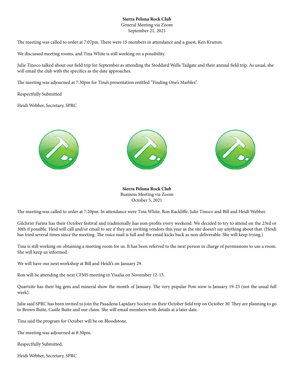#### **Sierra Pelona Rock Club**

General Meeting via Zoom September 21, 2021

The meeting was called to order at 7:07pm. There were 15 members in attendance and a guest, Ken Kramm.

We discussed meeting rooms, and Tina White is still working on a possibility.

Julie Tinoco talked about our field trip for September as attending the Stoddard Wells Tailgate and their annual field trip. As usual, she will email the club with the specifics as the date approaches.

The meeting was adjourned at 7:30pm for Tina's presentation entitled "Finding One's Marbles".

Respectfully Submitted

Heidi Webber, Secretary, SPRC







**Sierra Pelona Rock Club** Business Meeting via Zoom October 5, 2021

The meeting was called to order at 7:20pm. In attendance were Tina White, Ron Rackliffe, Julie Tinoco and Bill and Heidi Webber.

Gilchrist Farms has their October festival and traditionally has non-profits every weekend. We decided to try to attend on the 23rd or 30th if possible. Heid will call and/or email to see if they are inviting vendors this year as the site doesn't say anything about that. (Heidi has tried several times since the meeting. The voice mail is full and the email kicks back as non-deliverable. She will keep trying.)

Tina is still working on obtaining a meeting room for us. It has been referred to the next person in charge of permissions to use a room. She will keep us informed.

We will have our next workshop at Bill and Heidi's on January 29.

Ron will be attending the next CFMS meeting in Visalia on November 12-13.

Quartzite has their big gem and mineral show the month of January. The very popular Pow-wow is January 19-23 (not the usual full week).

Julie said SPRC has been invited to join the Pasadena Lapidary Society on their October field trip on October 30. They are planning to go to Brown Butte, Castle Butte and our claim. She will email members with details at a later date.

Tina said the program for October will be on Bloodstone.

The meeting was adjourned at 8:30pm.

Respectfully Submitted,

Heidi Webber, Secretary, SPRC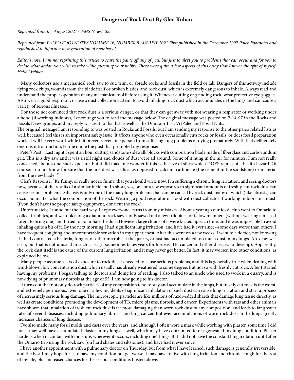#### **Dangers of Rock Dust By Glen Kuban**

#### *Reprinted from the August 2021 CFMS Newsletter*

*Reprinted from PALEO FOOTNOTES VOLUME 16, NUMBER 8 AUGUST 2021 First published in the December 1997 Paleo Footnotes and republished to inform a new generation of members.]*

*Editor's note: I am not reprinting this article to scare the pants off any of you, but just to alert you to problems that can occur and for you to decide what action you wish to take while pursuing your hobby. There were quite a few aspects of this essay that I never thought of myself. Heidi Webber*

 Many collectors use a mechanical rock saw to cut, trim, or abrade rocks and fossils in the field or lab. Dangers of this activity include flying rock chips, wounds from the blade itself or broken blades, and rock dust, which is extremely dangerous to inhale. Always read and understand the proper operation of any mechanical tool before using it. Whenever cutting or grinding rock, wear protective eye goggles. Also wear a good respirator, or use a dust collection system, to avoid inhaling rock dust which accumulates in the lungs and can cause a variety of serious illnesses.

 For those not convinced that rock dust is a serious danger, or that they can get away with not wearing a respirator or working under a hood (if working indoors), I encourage you to read the message below. The original message was posted on 7-14-97 in the Rocks and Fossils News groups, and my reply was sent to that list as well as the Dinosaur List, VrtPaleo and Fossil Nuts.

The original message I am responding to was posted in Rocks and Fossils, but I am sending my response to the other paleo related lists as well, because I feel this is an important safety issue. It affects anyone who even occasionally cuts rocks or fossils, or does fossil preparation work. It will be very worthwhile if it prevents even one person from suffering lung problems or dying prematurely. With that deliberately onerous intro- duction, let me quote the post that prompted my response:

 Peter's Post: "Last night I spent an hour cutting sandstone sidewalk blocks with composition blade made of fiberglass and carborundum grit. This is a dry saw and it was a still night and clouds of dust were all around. Some of it hung in the air for minutes. I am not really concerned about a one-shot exposure, but it did make me wonder if this is the size of silica which DOES represent a health hazard. Of course, I do not know for sure that the fine dust was silica, as opposed to calcium carbonate (the cement in the sandstone) or material from the new blade..."

 Glen's Response: "It's funny, or really not so funny, that you should write now. I'm suffering a chronic lung irritation, and seeing doctors now, because of the results of a similar incident. In short, yes, one or a few exposures to significant amounts of freshly-cut rock dust can cause serious problems. Silicosis is only one of the many lung problems that can be caused by rock dust, many of which (like fibrosis) can occur no matter what the composition of the rock. Wearing a good respirator or hood with dust collector if working indoors in a must. If you don't have the proper safety equipment, don't cut the rock!

 Unfortunately, I found out the hard way, I hope everyone learns from my mistakes. About a year ago our fossil club went to Ontario to collect trilobites, and we took along a diamond rock saw. I only sawed out a few trilobites for fellow members (without wearing a mask, I forgot to bring one) and I tried to not inhale the dust. However, large clouds of it were kicked up each time, and it was impossible to avoid inhaling quite a bit of it. By the next morning I had significant lung irritation, and have had it ever since--some days worse than others. I have frequent coughing and uncomfortable sensation in my upper chest. After this went on a few weeks, I went to a doctor, not knowing if I had contracted a bacteria, fungus, or other microbe at the quarry, or just had accumulated too much dust in my lungs. An x-ray was clear, but that is not unusual in such cases (it sometimes takes years for fibrosis, TB, cancer and other diseases to develop). Apparently, the rock dust itself is the cause of the current lung irritation, and it may never get better. In fact, it may worsen into other conditions, as explained below.

 Many people assume years of exposure to rock dust is needed to cause serious problems, and this is generally true when dealing with wind-blown, low concentration dust, which usually has already weathered to some degree. But not so with freshly cut rock. After I started having my problems, I began talking to doctors and doing lots of reading. I also talked to an uncle who used to work in a quarry, and is now dying of pulmonary fibrosis at the age of 55. I am now going to his doctor.

 It turns out that not only do rock particles of any composition tend to stay and accumulate in the lungs, but freshly cut rock is the worst, and extremely pernicious. Even one or a few incidents of significant inhalation of such dust can cause long irritation and start a process of increasingly serious lung damage. The microscopic particles are like millions of razor-edged shards that damage lung tissue directly, as well as create conditions promoting the development of TB, micro plasms, fibrosis, and cancer. Experiments with rats and other animals have shown that inhalation of fresh cut rock dust is far more damaging than worn rock dust of any composition, and leads to far greater rates of several diseases, including pulmonary fibrosis and lung cancer. But even accumulations of worn rock dust in the lungs greatly increases chances of lung disease.

 I've also made many fossil molds and casts over the years, and although I often wore a mask while working with plaster, sometime I did not. I may well have accumulated plaster in my lungs as well, which may have contributed to or aggravated my lung condition. Plaster hardens when in contact with moisture, wherever it occurs, including one's lungs. But I did not have the constant lung irritation until after the Ontario trip using the rock saw (on hard shales and siltstones), and have had it ever since.

 I have another appointment with a pulmonary doctor on Thursday, but from what I have learned, such damage is generally irreversible, and the best I may hope for is to have my condition not get worse. I may have to live with lung irritation and chronic cough for the rest of my life, plus increased chances for the serious conditions I listed above.